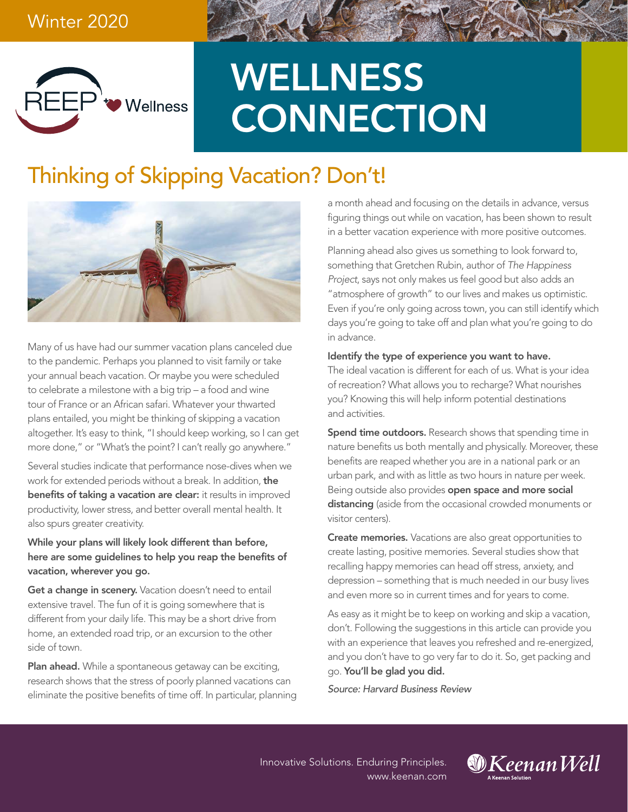

# **WELLNESS CONNECTION**

# Thinking of Skipping Vacation? Don't!



Many of us have had our summer vacation plans canceled due to the pandemic. Perhaps you planned to visit family or take your annual beach vacation. Or maybe you were scheduled to celebrate a milestone with a big trip – a food and wine tour of France or an African safari. Whatever your thwarted plans entailed, you might be thinking of skipping a vacation altogether. It's easy to think, "I should keep working, so I can get more done," or "What's the point? I can't really go anywhere."

Several studies indicate that performance nose-dives when we work for extended periods without a break. In addition, the benefits of taking a vacation are clear: it results in improved productivity, lower stress, and better overall mental health. It also spurs greater creativity.

#### While your plans will likely look different than before, here are some guidelines to help you reap the benefits of vacation, wherever you go.

Get a change in scenery. Vacation doesn't need to entail extensive travel. The fun of it is going somewhere that is different from your daily life. This may be a short drive from home, an extended road trip, or an excursion to the other side of town.

Plan ahead. While a spontaneous getaway can be exciting, research shows that the stress of poorly planned vacations can eliminate the positive benefits of time off. In particular, planning a month ahead and focusing on the details in advance, versus figuring things out while on vacation, has been shown to result in a better vacation experience with more positive outcomes.

Planning ahead also gives us something to look forward to, something that Gretchen Rubin, author of *The Happiness Project*, says not only makes us feel good but also adds an "atmosphere of growth" to our lives and makes us optimistic. Even if you're only going across town, you can still identify which days you're going to take off and plan what you're going to do in advance.

#### Identify the type of experience you want to have.

The ideal vacation is different for each of us. What is your idea of recreation? What allows you to recharge? What nourishes you? Knowing this will help inform potential destinations and activities.

**Spend time outdoors.** Research shows that spending time in nature benefits us both mentally and physically. Moreover, these benefits are reaped whether you are in a national park or an urban park, and with as little as two hours in nature per week. Being outside also provides **open space and more social** distancing (aside from the occasional crowded monuments or visitor centers).

Create memories. Vacations are also great opportunities to create lasting, positive memories. Several studies show that recalling happy memories can head off stress, anxiety, and depression – something that is much needed in our busy lives and even more so in current times and for years to come.

As easy as it might be to keep on working and skip a vacation, don't. Following the suggestions in this article can provide you with an experience that leaves you refreshed and re-energized, and you don't have to go very far to do it. So, get packing and go. You'll be glad you did.

*Source: Harvard Business Review*

Innovative Solutions. Enduring Principles. www.keenan.com